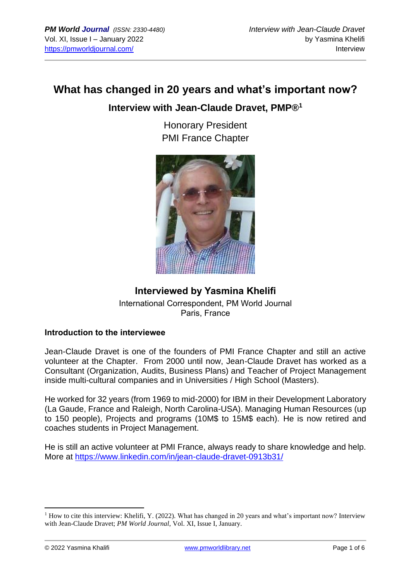# **What has changed in 20 years and what's important now?**

### **Interview with Jean-Claude Dravet, PMP®<sup>1</sup>**

Honorary President PMI France Chapter



### **Interviewed by Yasmina Khelifi** International Correspondent, PM World Journal Paris, France

### **Introduction to the interviewee**

Jean-Claude Dravet is one of the founders of PMI France Chapter and still an active volunteer at the Chapter. From 2000 until now, Jean-Claude Dravet has worked as a Consultant (Organization, Audits, Business Plans) and Teacher of Project Management inside multi-cultural companies and in Universities / High School (Masters).

He worked for 32 years (from 1969 to mid-2000) for IBM in their Development Laboratory (La Gaude, France and Raleigh, North Carolina-USA). Managing Human Resources (up to 150 people), Projects and programs (10M\$ to 15M\$ each). He is now retired and coaches students in Project Management.

He is still an active volunteer at PMI France, always ready to share knowledge and help. More at<https://www.linkedin.com/in/jean-claude-dravet-0913b31/>

<sup>&</sup>lt;sup>1</sup> How to cite this interview: Khelifi, Y. (2022). What has changed in 20 years and what's important now? Interview with Jean-Claude Dravet; *PM World Journal*, Vol. XI, Issue I, January.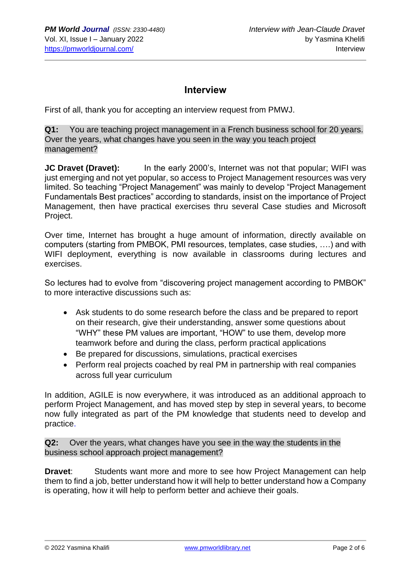## **Interview**

First of all, thank you for accepting an interview request from PMWJ.

**Q1:** You are teaching project management in a French business school for 20 years. Over the years, what changes have you seen in the way you teach project management?

**JC Dravet (Dravet):** In the early 2000's, Internet was not that popular; WIFI was just emerging and not yet popular, so access to Project Management resources was very limited. So teaching "Project Management" was mainly to develop "Project Management Fundamentals Best practices" according to standards, insist on the importance of Project Management, then have practical exercises thru several Case studies and Microsoft Project.

Over time, Internet has brought a huge amount of information, directly available on computers (starting from PMBOK, PMI resources, templates, case studies, ….) and with WIFI deployment, everything is now available in classrooms during lectures and exercises.

So lectures had to evolve from "discovering project management according to PMBOK" to more interactive discussions such as:

- Ask students to do some research before the class and be prepared to report on their research, give their understanding, answer some questions about "WHY" these PM values are important, "HOW" to use them, develop more teamwork before and during the class, perform practical applications
- Be prepared for discussions, simulations, practical exercises
- Perform real projects coached by real PM in partnership with real companies across full year curriculum

In addition, AGILE is now everywhere, it was introduced as an additional approach to perform Project Management, and has moved step by step in several years, to become now fully integrated as part of the PM knowledge that students need to develop and practice.

**Q2:** Over the years, what changes have you see in the way the students in the business school approach project management?

**Dravet:** Students want more and more to see how Project Management can help them to find a job, better understand how it will help to better understand how a Company is operating, how it will help to perform better and achieve their goals.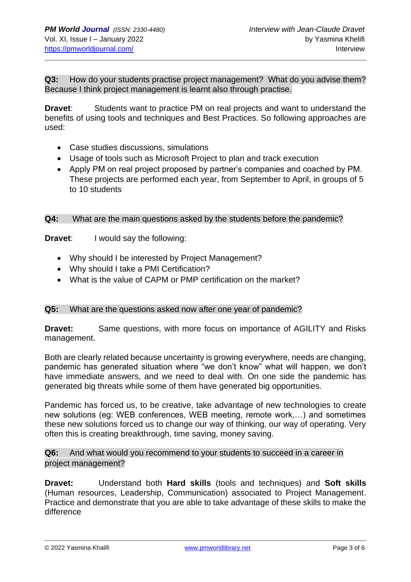**Q3:** How do your students practise project management? What do you advise them? Because I think project management is learnt also through practise.

**Dravet**: Students want to practice PM on real projects and want to understand the benefits of using tools and techniques and Best Practices. So following approaches are used:

- Case studies discussions, simulations
- Usage of tools such as Microsoft Project to plan and track execution
- Apply PM on real project proposed by partner's companies and coached by PM. These projects are performed each year, from September to April, in groups of 5 to 10 students

#### **Q4:** What are the main questions asked by the students before the pandemic?

**Dravet:** I would say the following:

- Why should I be interested by Project Management?
- Why should I take a PMI Certification?
- What is the value of CAPM or PMP certification on the market?

#### **Q5:** What are the questions asked now after one year of pandemic?

**Dravet:** Same questions, with more focus on importance of AGILITY and Risks management.

Both are clearly related because uncertainty is growing everywhere, needs are changing, pandemic has generated situation where "we don't know" what will happen, we don't have immediate answers, and we need to deal with. On one side the pandemic has generated big threats while some of them have generated big opportunities.

Pandemic has forced us, to be creative, take advantage of new technologies to create new solutions (eg: WEB conferences, WEB meeting, remote work,…) and sometimes these new solutions forced us to change our way of thinking, our way of operating. Very often this is creating breakthrough, time saving, money saving.

**Q6:** And what would you recommend to your students to succeed in a career in project management?

**Dravet:** Understand both **Hard skills** (tools and techniques) and **Soft skills** (Human resources, Leadership, Communication) associated to Project Management. Practice and demonstrate that you are able to take advantage of these skills to make the difference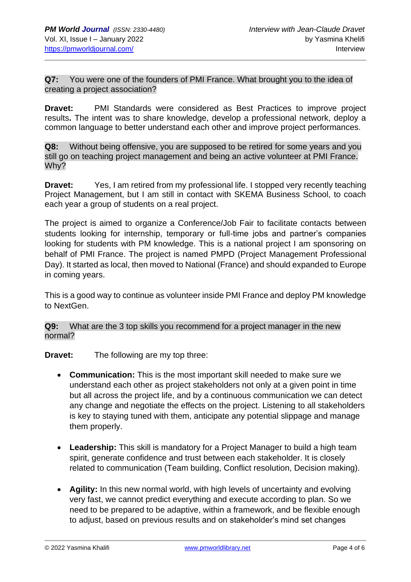**Q7:** You were one of the founders of PMI France. What brought you to the idea of creating a project association?

**Dravet:** PMI Standards were considered as Best Practices to improve project results**.** The intent was to share knowledge, develop a professional network, deploy a common language to better understand each other and improve project performances.

**Q8:** Without being offensive, you are supposed to be retired for some years and you still go on teaching project management and being an active volunteer at PMI France. Why?

**Dravet:** Yes, I am retired from my professional life. I stopped very recently teaching Project Management, but I am still in contact with SKEMA Business School, to coach each year a group of students on a real project.

The project is aimed to organize a Conference/Job Fair to facilitate contacts between students looking for internship, temporary or full-time jobs and partner's companies looking for students with PM knowledge. This is a national project I am sponsoring on behalf of PMI France. The project is named PMPD (Project Management Professional Day). It started as local, then moved to National (France) and should expanded to Europe in coming years.

This is a good way to continue as volunteer inside PMI France and deploy PM knowledge to NextGen.

**Q9:** What are the 3 top skills you recommend for a project manager in the new normal?

**Dravet:** The following are my top three:

- **Communication:** This is the most important skill needed to make sure we understand each other as project stakeholders not only at a given point in time but all across the project life, and by a continuous communication we can detect any change and negotiate the effects on the project. Listening to all stakeholders is key to staying tuned with them, anticipate any potential slippage and manage them properly.
- **Leadership:** This skill is mandatory for a Project Manager to build a high team spirit, generate confidence and trust between each stakeholder. It is closely related to communication (Team building, Conflict resolution, Decision making).
- **Agility:** In this new normal world, with high levels of uncertainty and evolving very fast, we cannot predict everything and execute according to plan. So we need to be prepared to be adaptive, within a framework, and be flexible enough to adjust, based on previous results and on stakeholder's mind set changes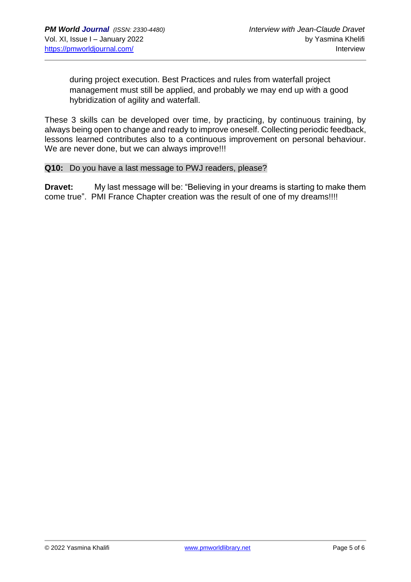during project execution. Best Practices and rules from waterfall project management must still be applied, and probably we may end up with a good hybridization of agility and waterfall.

These 3 skills can be developed over time, by practicing, by continuous training, by always being open to change and ready to improve oneself. Collecting periodic feedback, lessons learned contributes also to a continuous improvement on personal behaviour. We are never done, but we can always improve!!!

#### **Q10:** Do you have a last message to PWJ readers, please?

**Dravet:** My last message will be: "Believing in your dreams is starting to make them come true". PMI France Chapter creation was the result of one of my dreams!!!!